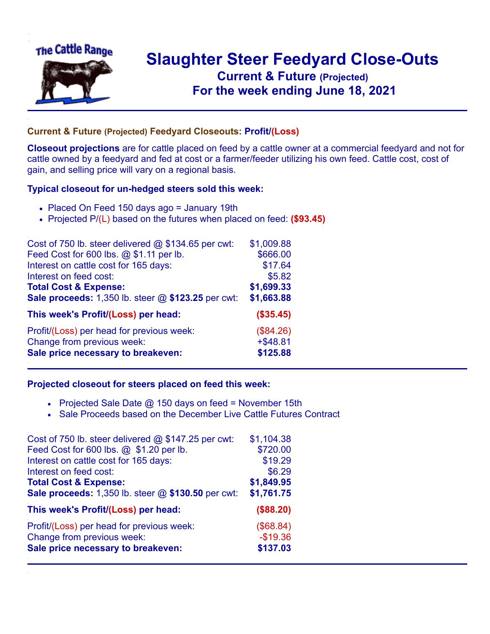

## **Slaughter Steer Feedyard Close-Outs Current & Future (Projected)** .**For the week ending June 18, 2021**

## **Current & Future (Projected) Feedyard Closeouts: Profit/(Loss)**

**Closeout projections** are for cattle placed on feed by a cattle owner at a commercial feedyard and not for cattle owned by a feedyard and fed at cost or a farmer/feeder utilizing his own feed. Cattle cost, cost of gain, and selling price will vary on a regional basis.

## **Typical closeout for un-hedged steers sold this week:**

- Placed On Feed 150 days ago = January 19th
- Projected P/(L) based on the futures when placed on feed: **(\$93.45)**

| Cost of 750 lb. steer delivered $@$ \$134.65 per cwt: | \$1,009.88  |
|-------------------------------------------------------|-------------|
| Feed Cost for 600 lbs. @ \$1.11 per lb.               | \$666.00    |
| Interest on cattle cost for 165 days:                 | \$17.64     |
| Interest on feed cost:                                | \$5.82      |
| <b>Total Cost &amp; Expense:</b>                      | \$1,699.33  |
| Sale proceeds: 1,350 lb. steer @ \$123.25 per cwt:    | \$1,663.88  |
| This week's Profit/(Loss) per head:                   | (\$35.45)   |
| Profit/(Loss) per head for previous week:             | (\$84.26)   |
| Change from previous week:                            | $+$ \$48.81 |
| Sale price necessary to breakeven:                    | \$125.88    |

## **Projected closeout for steers placed on feed this week:**

- Projected Sale Date  $@$  150 days on feed = November 15th
- Sale Proceeds based on the December Live Cattle Futures Contract

| Cost of 750 lb. steer delivered @ \$147.25 per cwt: | \$1,104.38 |
|-----------------------------------------------------|------------|
| Feed Cost for 600 lbs. @ \$1.20 per lb.             | \$720.00   |
| Interest on cattle cost for 165 days:               | \$19.29    |
| Interest on feed cost:                              | \$6.29     |
| <b>Total Cost &amp; Expense:</b>                    | \$1,849.95 |
| Sale proceeds: 1,350 lb. steer @ \$130.50 per cwt:  | \$1,761.75 |
| This week's Profit/(Loss) per head:                 | (\$88.20)  |
| Profit/(Loss) per head for previous week:           | (\$68.84)  |
| Change from previous week:                          | $-$19.36$  |
| Sale price necessary to breakeven:                  | \$137.03   |